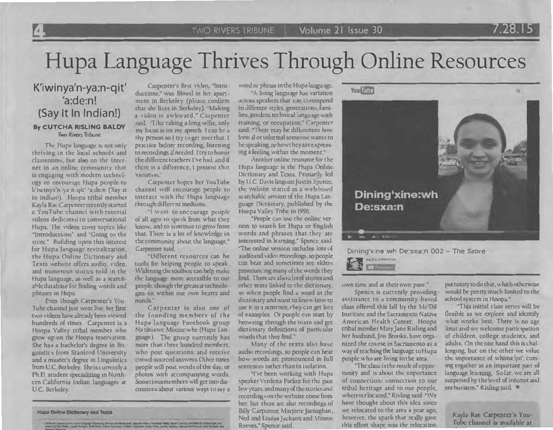Volume 21 Issue 30

## Hupa Language Thrives Through Online Resources

## K'iwinya'n-ya:n-qit' 'a:de:n! (Say It In Indian!) By CUTCHA RISLING BALDY **Two Rivers Tribune**

The Hupa language is not only thriving in the local schools and classrooms, but also on the Internet in an online community that is engaging with modern technology to encourage Hupa people to k'iwinya'n ya:n-qit' 'a:de.n (Say it in Indian!) Houpa tribal member Kayla Rac Carpenter recently started a YouTube channel with rutorial videos dedicated to conversational Hupa. The videos cover topics like "Introductions" and "Going to the store." Building upon this interest for Hupa language revitalization, the Hupa Online Dictionary and Texts website offers audio, video, and numerous stories told in the Hupa language, as well as a searchable database for finding words and phrases in Hupa.

Even though Carpenter's You-Tube channel just went live, her first two videos have already been viewed hundreds of times. Carpenter is a Hoopa Valley tribal member who grew up on the Hoopa reservation. She has a bachelor's degree in linguistics from Stanford University and a master's degree in Linguistics from U.C. Berkeley. She is currently a Ph.D. student specializing in Northern California Indian languages at U.C. Berkeley.

Carpenter's first video, "Introductions," was filmed in her apartment in Berkeley (please confirm that she lives in Berkeley). "Making a video is awkward," Carpenter said. "Like taking a long selfie, only my focus is on my speech. I can be a shy person so I try to get over that. I practice before recording, lisrening to recordings if needed. I try to honor the different teachers I've had, and if there is a difference. I present that variation."

Carpenter hopes her YouTube channel will encourage people to interact with the Hupa language through different mediums.

"I want to encourage people ol all ages to speak from what they know, and to continue to grow from that. There is a lot of knowledge in the community about the language," Carpenter said.

"Different resources can be tools for helping people to speak. Widening the toolbox can help make the language more accessible to our people, though the greatest technologies sit within our own hearts and minds."

Carpenter is also one of the founding members of the Hupa language Facebook group Natinixwe Mixine:whe (Hupa Language). The group currently has more than three hundred members. who post questions and receive crowd-sourced answers. Other tunes people will post words of the day, or photos with accompanying words. Sometimes members will get into discussions about various ways to say a

**Hupa Online Dictionary and Texts** 

Conseil on the Hige Congrega Dictionery Directions Morre aller, assassi adline, O Hierpa Valley Trital Council, accepted by Mater Only and

word or phrase in the Hupa language.

"A living language has variation across speakers that can correspond to different styles, generations families, genders, technical language with training, or occupation," Carpenter said "There may be differences how formal or toformal someone wants to be speaking, or how they are expressing a feeling within the moment.

Another online resource for the Hupa language is the Hupa Online Dictionary and Texts. Primarily led by U.C. Davis linguist Justin Spence, the website statted as a web based searchable version of the Hupa Language Dictionary, published by the Hoopa Valley Tribe in 1996.

\*People can use the online version to search for Hupa or English words and phrases that they are interested in learning." Spence said. "The online version includes lots of audioand video recordings, so people can hear and sometimes see elders pronouncing many of the words they find. There are also a lot of stories and other rexts linked to the dictionary, so when people find a word in the dictionary and want to know how to use it in a sentence, they can get lots of examples. Or people can start by browsing through the texts and get dictionary definitions of particular words that they find."

Many of the rexts also have audio recordings, so people can hear how words are pronounced in full sentences tather than in isolation

"I've been working with Hupa speaker Verdena Parker for the past few years, and many of the stories and recordings on the website come from her, but there are also recordings of Billy Carpenter, Marjorie Jarnaghan, Ned and Louisa Jackson and Minnie Reeves," Spence said



Dining'xine:wh De:sxa:n

Dining'xine wh De:sxa:n 002 - The Store

Companies

own time and at their own pace."

Spence is currently providing assistance to a community based class offered this fall by the Me'Dil Institute and the Sacramento Native American Health Center. Hoopa tribal member Mary Jane Risling and her husband, Jon Brooks, have orga nized the course in Sacramento as a way of teaching the language to Hupa people who are living in the area.

"The class is the result of opportunity and is about the unportance of connection, connection to our tribal heritage and to our people. wherever located," Risling said. "We have thought about this idea since we relocated to the area a year ago; however, the spark that really gave this effort shape was the relocation

por tunity to do that, which otherwise would be pretty much limited to the school system in Hoopa."

7.28.15

"This initial class series will be flexible as we explore and identify what works best. There is no age limit and we welcome participation of children, college students, and adults. On the one hand this is challenging, but on the other we value the importance of whimalyo', coming together as an important part of language learning. So far, we are all surprised by the level of interest and ent husiasm," Risling said.

Kayla Rae Carpenter's You-Tube channel is available at